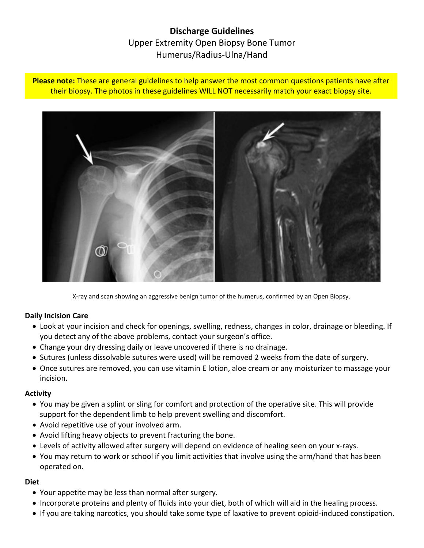# **Discharge Guidelines** Upper Extremity Open Biopsy Bone Tumor Humerus/Radius-Ulna/Hand

**Please note:** These are general guidelines to help answer the most common questions patients have after their biopsy. The photos in these guidelines WILL NOT necessarily match your exact biopsy site.



X-ray and scan showing an aggressive benign tumor of the humerus, confirmed by an Open Biopsy.

### **Daily Incision Care**

- Look at your incision and check for openings, swelling, redness, changes in color, drainage or bleeding. If you detect any of the above problems, contact your surgeon's office.
- Change your dry dressing daily or leave uncovered if there is no drainage.
- Sutures (unless dissolvable sutures were used) will be removed 2 weeks from the date of surgery.
- Once sutures are removed, you can use vitamin E lotion, aloe cream or any moisturizer to massage your incision.

#### **Activity**

- You may be given a splint or sling for comfort and protection of the operative site. This will provide support for the dependent limb to help prevent swelling and discomfort.
- Avoid repetitive use of your involved arm.
- Avoid lifting heavy objects to prevent fracturing the bone.
- Levels of activity allowed after surgery will depend on evidence of healing seen on your x-rays.
- You may return to work or school if you limit activities that involve using the arm/hand that has been operated on.

#### **Diet**

- Your appetite may be less than normal after surgery.
- Incorporate proteins and plenty of fluids into your diet, both of which will aid in the healing process.
- If you are taking narcotics, you should take some type of laxative to prevent opioid-induced constipation.